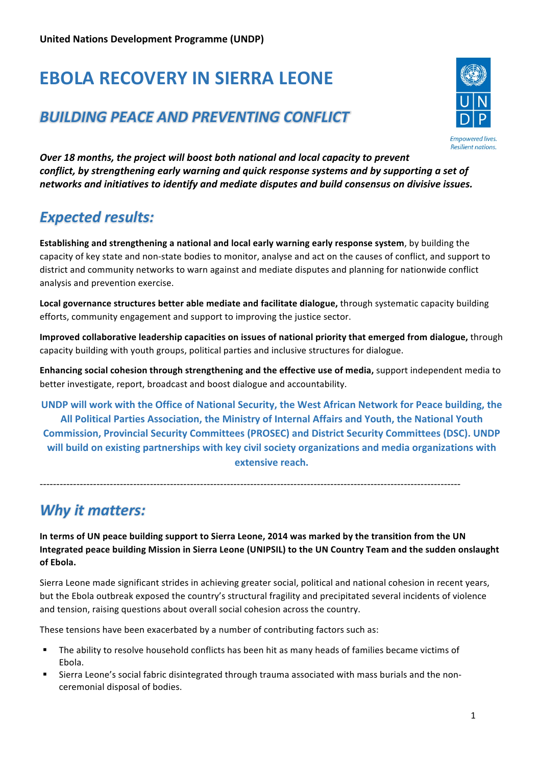# **EBOLA RECOVERY IN SIERRA LEONE**

## *BUILDING PEACE AND PREVENTING CONFLICT*



*Over* 18 months, the project will boost both national and local capacity to prevent *conflict, by strengthening early warning and quick response systems and by supporting a set of* networks and initiatives to identify and mediate disputes and build consensus on divisive issues.

# *Expected results:*

**Establishing and strengthening a national and local early warning early response system, by building the** capacity of key state and non-state bodies to monitor, analyse and act on the causes of conflict, and support to district and community networks to warn against and mediate disputes and planning for nationwide conflict analysis and prevention exercise.

Local governance structures better able mediate and facilitate dialogue, through systematic capacity building efforts, community engagement and support to improving the justice sector.

**Improved collaborative leadership capacities on issues of national priority that emerged from dialogue,** through capacity building with youth groups, political parties and inclusive structures for dialogue.

**Enhancing social cohesion through strengthening and the effective use of media,** support independent media to better investigate, report, broadcast and boost dialogue and accountability.

**UNDP** will work with the Office of National Security, the West African Network for Peace building, the All Political Parties Association, the Ministry of Internal Affairs and Youth, the National Youth **Commission, Provincial Security Committees (PROSEC) and District Security Committees (DSC). UNDP** will build on existing partnerships with key civil society organizations and media organizations with **extensive reach.** 

------------------------------------------------------------------------------------------------------------------------------

### **Why it matters:**

In terms of UN peace building support to Sierra Leone, 2014 was marked by the transition from the UN Integrated peace building Mission in Sierra Leone (UNIPSIL) to the UN Country Team and the sudden onslaught **of Ebola.**

Sierra Leone made significant strides in achieving greater social, political and national cohesion in recent years, but the Ebola outbreak exposed the country's structural fragility and precipitated several incidents of violence and tension, raising questions about overall social cohesion across the country.

These tensions have been exacerbated by a number of contributing factors such as:

- The ability to resolve household conflicts has been hit as many heads of families became victims of Ebola.
- Sierra Leone's social fabric disintegrated through trauma associated with mass burials and the nonceremonial disposal of bodies.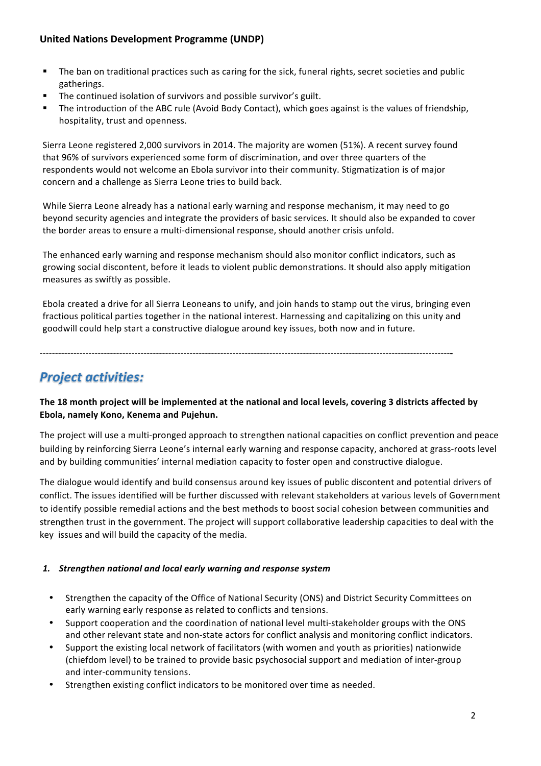#### **United Nations Development Programme (UNDP)**

- The ban on traditional practices such as caring for the sick, funeral rights, secret societies and public gatherings.
- The continued isolation of survivors and possible survivor's guilt.
- The introduction of the ABC rule (Avoid Body Contact), which goes against is the values of friendship, hospitality, trust and openness.

Sierra Leone registered 2,000 survivors in 2014. The majority are women (51%). A recent survey found that 96% of survivors experienced some form of discrimination, and over three quarters of the respondents would not welcome an Ebola survivor into their community. Stigmatization is of major concern and a challenge as Sierra Leone tries to build back.

While Sierra Leone already has a national early warning and response mechanism, it may need to go beyond security agencies and integrate the providers of basic services. It should also be expanded to cover the border areas to ensure a multi-dimensional response, should another crisis unfold.

The enhanced early warning and response mechanism should also monitor conflict indicators, such as growing social discontent, before it leads to violent public demonstrations. It should also apply mitigation measures as swiftly as possible.

Ebola created a drive for all Sierra Leoneans to unify, and join hands to stamp out the virus, bringing even fractious political parties together in the national interest. Harnessing and capitalizing on this unity and goodwill could help start a constructive dialogue around key issues, both now and in future.

--------------------------------------------------------------------------------------------------------------------------------------**-** 

### *Project activities:*

The 18 month project will be implemented at the national and local levels, covering 3 districts affected by Ebola, namely Kono, Kenema and Pujehun.

The project will use a multi-pronged approach to strengthen national capacities on conflict prevention and peace building by reinforcing Sierra Leone's internal early warning and response capacity, anchored at grass-roots level and by building communities' internal mediation capacity to foster open and constructive dialogue.

The dialogue would identify and build consensus around key issues of public discontent and potential drivers of conflict. The issues identified will be further discussed with relevant stakeholders at various levels of Government to identify possible remedial actions and the best methods to boost social cohesion between communities and strengthen trust in the government. The project will support collaborative leadership capacities to deal with the key issues and will build the capacity of the media.

#### 1. Strengthen national and local early warning and response system

- Strengthen the capacity of the Office of National Security (ONS) and District Security Committees on early warning early response as related to conflicts and tensions.
- Support cooperation and the coordination of national level multi-stakeholder groups with the ONS and other relevant state and non-state actors for conflict analysis and monitoring conflict indicators.
- Support the existing local network of facilitators (with women and youth as priorities) nationwide (chiefdom level) to be trained to provide basic psychosocial support and mediation of inter-group and inter-community tensions.
- Strengthen existing conflict indicators to be monitored over time as needed.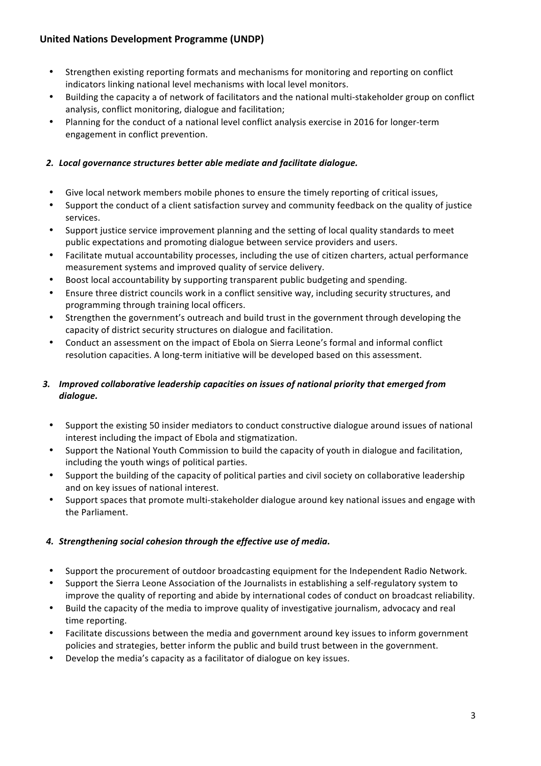#### **United Nations Development Programme (UNDP)**

- Strengthen existing reporting formats and mechanisms for monitoring and reporting on conflict indicators linking national level mechanisms with local level monitors.
- Building the capacity a of network of facilitators and the national multi-stakeholder group on conflict analysis, conflict monitoring, dialogue and facilitation;
- Planning for the conduct of a national level conflict analysis exercise in 2016 for longer-term engagement in conflict prevention.

#### 2. Local governance structures better able mediate and facilitate dialogue.

- Give local network members mobile phones to ensure the timely reporting of critical issues,
- Support the conduct of a client satisfaction survey and community feedback on the quality of justice services.
- Support justice service improvement planning and the setting of local quality standards to meet public expectations and promoting dialogue between service providers and users.
- Facilitate mutual accountability processes, including the use of citizen charters, actual performance measurement systems and improved quality of service delivery.
- Boost local accountability by supporting transparent public budgeting and spending.
- Ensure three district councils work in a conflict sensitive way, including security structures, and programming through training local officers.
- Strengthen the government's outreach and build trust in the government through developing the capacity of district security structures on dialogue and facilitation.
- Conduct an assessment on the impact of Ebola on Sierra Leone's formal and informal conflict resolution capacities. A long-term initiative will be developed based on this assessment.

#### 3. Improved collaborative leadership capacities on issues of national priority that emerged from *dialogue.*

- Support the existing 50 insider mediators to conduct constructive dialogue around issues of national interest including the impact of Ebola and stigmatization.
- Support the National Youth Commission to build the capacity of youth in dialogue and facilitation, including the youth wings of political parties.
- Support the building of the capacity of political parties and civil society on collaborative leadership and on key issues of national interest.
- Support spaces that promote multi-stakeholder dialogue around key national issues and engage with the Parliament.

#### 4. Strengthening social cohesion through the effective use of media.

- Support the procurement of outdoor broadcasting equipment for the Independent Radio Network.
- Support the Sierra Leone Association of the Journalists in establishing a self-regulatory system to improve the quality of reporting and abide by international codes of conduct on broadcast reliability.
- Build the capacity of the media to improve quality of investigative journalism, advocacy and real time reporting.
- Facilitate discussions between the media and government around key issues to inform government policies and strategies, better inform the public and build trust between in the government.
- Develop the media's capacity as a facilitator of dialogue on key issues.